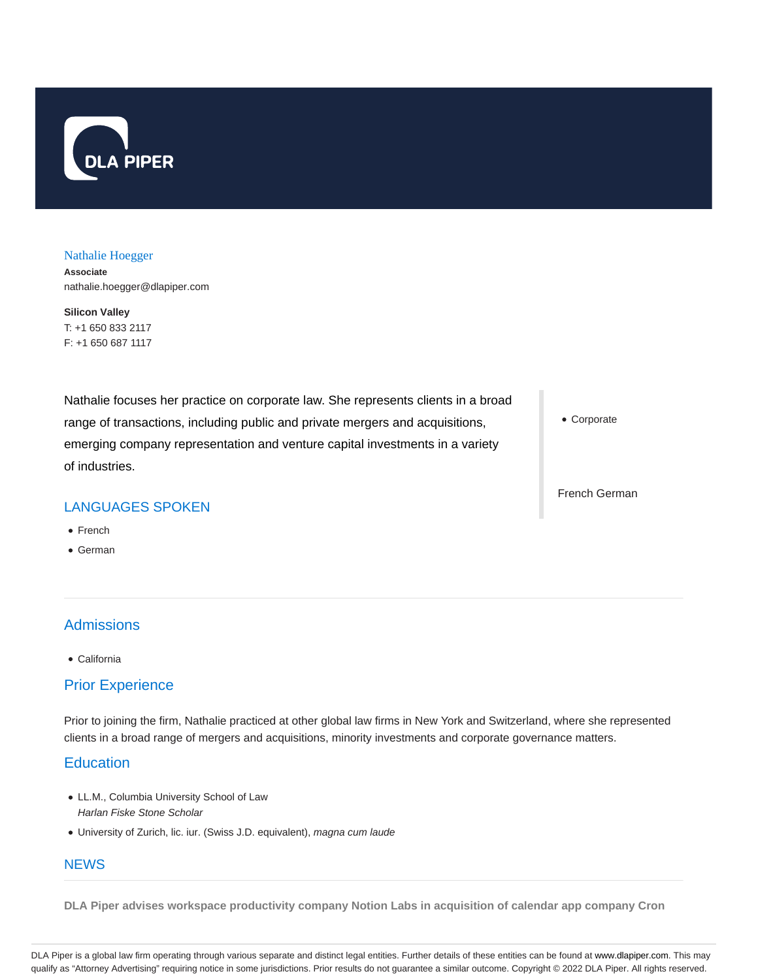

### Nathalie Hoegger

**Associate** nathalie.hoegger@dlapiper.com

**Silicon Valley** T: +1 650 833 2117 F: +1 650 687 1117

Nathalie focuses her practice on corporate law. She represents clients in a broad range of transactions, including public and private mergers and acquisitions, emerging company representation and venture capital investments in a variety of industries.

### Corporate

French German

LANGUAGES SPOKEN

- French
- German

# Admissions

California

## Prior Experience

Prior to joining the firm, Nathalie practiced at other global law firms in New York and Switzerland, where she represented clients in a broad range of mergers and acquisitions, minority investments and corporate governance matters.

## **Education**

- LL.M., Columbia University School of Law Harlan Fiske Stone Scholar
- University of Zurich, lic. iur. (Swiss J.D. equivalent), magna cum laude

# **NEWS**

**DLA Piper advises workspace productivity company Notion Labs in acquisition of calendar app company Cron**

DLA Piper is a global law firm operating through various separate and distinct legal entities. Further details of these entities can be found at www.dlapiper.com. This may qualify as "Attorney Advertising" requiring notice in some jurisdictions. Prior results do not guarantee a similar outcome. Copyright © 2022 DLA Piper. All rights reserved.